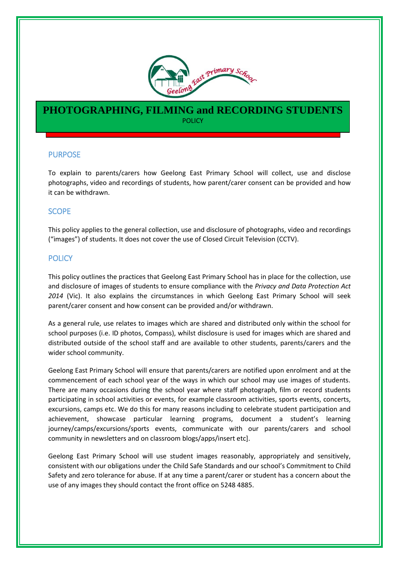

# **PHOTOGRAPHING, FILMING and RECORDING STUDENTS** POLICY

### PURPOSE

l

To explain to parents/carers how Geelong East Primary School will collect, use and disclose photographs, video and recordings of students, how parent/carer consent can be provided and how it can be withdrawn.

### **SCOPE**

This policy applies to the general collection, use and disclosure of photographs, video and recordings ("images") of students. It does not cover the use of Closed Circuit Television (CCTV).

### **POLICY**

This policy outlines the practices that Geelong East Primary School has in place for the collection, use and disclosure of images of students to ensure compliance with the *Privacy and Data Protection Act 2014* (Vic). It also explains the circumstances in which Geelong East Primary School will seek parent/carer consent and how consent can be provided and/or withdrawn.

As a general rule, use relates to images which are shared and distributed only within the school for school purposes (i.e. ID photos, Compass), whilst disclosure is used for images which are shared and distributed outside of the school staff and are available to other students, parents/carers and the wider school community.

Geelong East Primary School will ensure that parents/carers are notified upon enrolment and at the commencement of each school year of the ways in which our school may use images of students. There are many occasions during the school year where staff photograph, film or record students participating in school activities or events, for example classroom activities, sports events, concerts, excursions, camps etc. We do this for many reasons including to celebrate student participation and achievement, showcase particular learning programs, document a student's learning journey/camps/excursions/sports events, communicate with our parents/carers and school community in newsletters and on classroom blogs/apps/insert etc].

Geelong East Primary School will use student images reasonably, appropriately and sensitively, consistent with our obligations under the Child Safe Standards and our school's Commitment to Child Safety and zero tolerance for abuse. If at any time a parent/carer or student has a concern about the use of any images they should contact the front office on 5248 4885.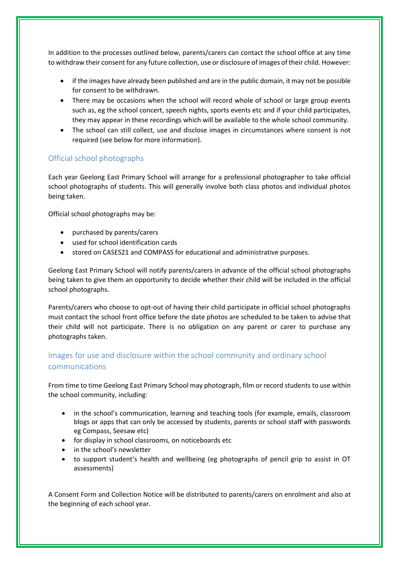In addition to the processes outlined below, parents/carers can contact the school office at any time to withdraw their consent for any future collection, use or disclosure of images of their child. However:

- if the images have already been published and are in the public domain, it may not be possible for consent to be withdrawn.
- There may be occasions when the school will record whole of school or large group events such as, eg the school concert, speech nights, sports events etc and if your child participates, they may appear in these recordings which will be available to the whole school community.
- The school can still collect, use and disclose images in circumstances where consent is not required (see below for more information).

## Official school photographs

Each year Geelong East Primary School will arrange for a professional photographer to take official school photographs of students. This will generally involve both class photos and individual photos being taken.

Official school photographs may be:

- purchased by parents/carers
- used for school identification cards
- stored on CASES21 and COMPASS for educational and administrative purposes.

Geelong East Primary School will notify parents/carers in advance of the official school photographs being taken to give them an opportunity to decide whether their child will be included in the official school photographs.

Parents/carers who choose to opt-out of having their child participate in official school photographs must contact the school front office before the date photos are scheduled to be taken to advise that their child will not participate. There is no obligation on any parent or carer to purchase any photographs taken.

# Images for use and disclosure within the school community and ordinary school communications

From time to time Geelong East Primary School may photograph, film or record students to use within the school community, including:

- in the school's communication, learning and teaching tools (for example, emails, classroom blogs or apps that can only be accessed by students, parents or school staff with passwords eg Compass, Seesaw etc)
- for display in school classrooms, on noticeboards etc
- in the school's newsletter
- to support student's health and wellbeing (eg photographs of pencil grip to assist in OT assessments)

A Consent Form and Collection Notice will be distributed to parents/carers on enrolment and also at the beginning of each school year.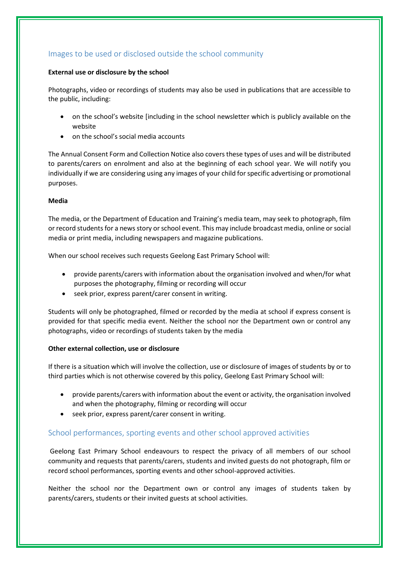## Images to be used or disclosed outside the school community

#### **External use or disclosure by the school**

Photographs, video or recordings of students may also be used in publications that are accessible to the public, including:

- on the school's website [including in the school newsletter which is publicly available on the website
- on the school's social media accounts

The Annual Consent Form and Collection Notice also covers these types of uses and will be distributed to parents/carers on enrolment and also at the beginning of each school year. We will notify you individually if we are considering using any images of your child for specific advertising or promotional purposes.

#### **Media**

The media, or the Department of Education and Training's media team, may seek to photograph, film or record students for a news story or school event. This may include broadcast media, online or social media or print media, including newspapers and magazine publications.

When our school receives such requests Geelong East Primary School will:

- provide parents/carers with information about the organisation involved and when/for what purposes the photography, filming or recording will occur
- seek prior, express parent/carer consent in writing.

Students will only be photographed, filmed or recorded by the media at school if express consent is provided for that specific media event. Neither the school nor the Department own or control any photographs, video or recordings of students taken by the media

### **Other external collection, use or disclosure**

If there is a situation which will involve the collection, use or disclosure of images of students by or to third parties which is not otherwise covered by this policy, Geelong East Primary School will:

- provide parents/carers with information about the event or activity, the organisation involved and when the photography, filming or recording will occur
- seek prior, express parent/carer consent in writing.

## School performances, sporting events and other school approved activities

Geelong East Primary School endeavours to respect the privacy of all members of our school community and requests that parents/carers, students and invited guests do not photograph, film or record school performances, sporting events and other school-approved activities.

Neither the school nor the Department own or control any images of students taken by parents/carers, students or their invited guests at school activities.